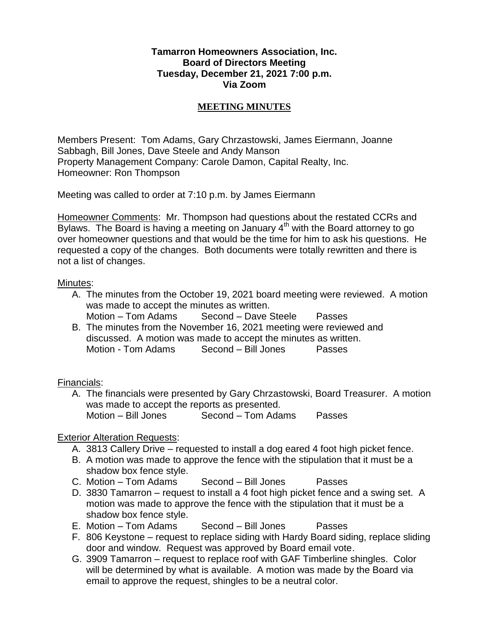#### **Tamarron Homeowners Association, Inc. Board of Directors Meeting Tuesday, December 21, 2021 7:00 p.m. Via Zoom**

### **MEETING MINUTES**

Members Present: Tom Adams, Gary Chrzastowski, James Eiermann, Joanne Sabbagh, Bill Jones, Dave Steele and Andy Manson Property Management Company: Carole Damon, Capital Realty, Inc. Homeowner: Ron Thompson

Meeting was called to order at 7:10 p.m. by James Eiermann

Homeowner Comments: Mr. Thompson had questions about the restated CCRs and Bylaws. The Board is having a meeting on January  $4<sup>th</sup>$  with the Board attorney to go over homeowner questions and that would be the time for him to ask his questions. He requested a copy of the changes. Both documents were totally rewritten and there is not a list of changes.

#### Minutes:

- A. The minutes from the October 19, 2021 board meeting were reviewed. A motion was made to accept the minutes as written.
	- Motion Tom Adams Second Dave Steele Passes
- B. The minutes from the November 16, 2021 meeting were reviewed and discussed. A motion was made to accept the minutes as written. Motion - Tom Adams Second – Bill Jones Passes

### Financials:

A. The financials were presented by Gary Chrzastowski, Board Treasurer. A motion was made to accept the reports as presented. Motion – Bill Jones Second – Tom Adams Passes

### Exterior Alteration Requests:

- A. 3813 Callery Drive requested to install a dog eared 4 foot high picket fence.
- B. A motion was made to approve the fence with the stipulation that it must be a shadow box fence style.
- C. Motion Tom Adams Second Bill Jones Passes
- D. 3830 Tamarron request to install a 4 foot high picket fence and a swing set. A motion was made to approve the fence with the stipulation that it must be a shadow box fence style.
- E. Motion Tom Adams Second Bill Jones Passes
- F. 806 Keystone request to replace siding with Hardy Board siding, replace sliding door and window. Request was approved by Board email vote.
- G. 3909 Tamarron request to replace roof with GAF Timberline shingles. Color will be determined by what is available. A motion was made by the Board via email to approve the request, shingles to be a neutral color.